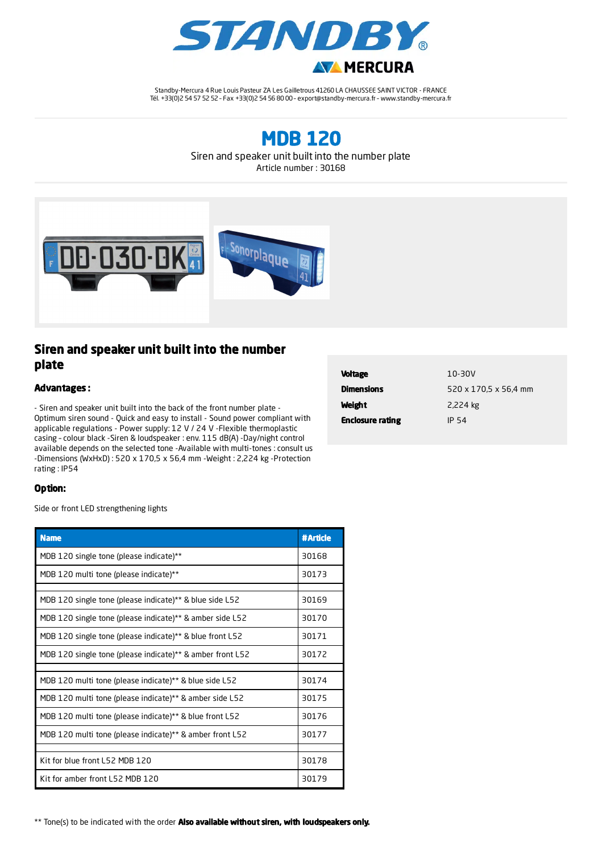

Standby-Mercura 4 Rue Louis Pasteur ZA Les Gailletrous 41260 LA CHAUSSEE SAINT VICTOR - FRANCE Tél. +33(0)2 54 57 52 52 – Fax +33(0)2 54 56 80 00 – export@standby-mercura.fr – www.standby-mercura.fr

MDB 120

Siren and speaker unit built into the number plate

Article number : 30168



## Siren and speaker unit built into the number plate

## Advantages :

- Siren and speaker unit built into the back of the front number plate - Optimum siren sound - Quick and easy to install - Sound power compliant with applicable regulations - Power supply: 12 V / 24 V -Flexible thermoplastic casing – colour black -Siren & loudspeaker : env. 115 dB(A) -Day/night control available depends on the selected tone -Available with multi-tones : consult us -Dimensions (WxHxD) : 520 x 170,5 x 56,4 mm -Weight : 2,224 kg -Protection rating : IP54

| <b>Voltage</b>          | 10-30V                |
|-------------------------|-----------------------|
| <b>Dimensions</b>       | 520 x 170.5 x 56.4 mm |
| Weight                  | 2,224 kg              |
| <b>Enclosure rating</b> | IP 54                 |

## Option:

Side or front LED strengthening lights

| <b>Name</b>                                                           | #Article |
|-----------------------------------------------------------------------|----------|
| MDB 120 single tone (please indicate)**                               | 30168    |
| MDB 120 multi tone (please indicate)**                                |          |
|                                                                       |          |
| MDB 120 single tone (please indicate)** & blue side L52               | 30169    |
| MDB 120 single tone (please indicate)** & amber side L52              | 30170    |
| MDB 120 single tone (please indicate)** & blue front L52              | 30171    |
| MDB 120 single tone (please indicate) <sup>**</sup> & amber front L52 | 30172    |
|                                                                       |          |
| MDB 120 multi tone (please indicate)** & blue side L52                | 30174    |
| MDB 120 multi tone (please indicate)** & amber side L52               | 30175    |
| MDB 120 multi tone (please indicate)** & blue front L52               | 30176    |
| MDB 120 multi tone (please indicate)** & amber front L52              |          |
|                                                                       |          |
| Kit for blue front L52 MDB 120                                        |          |
| Kit for amber front L52 MDB 120                                       | 30179    |

\*\* Tone(s) to be indicated with the order Also available without siren, with loudspeakers only.